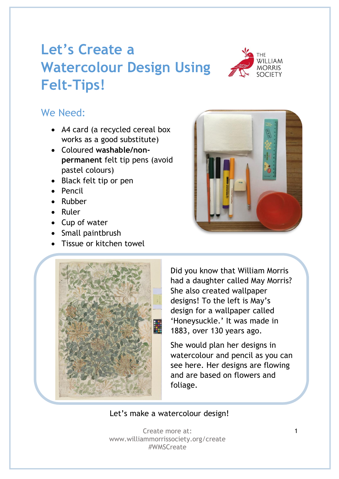## **Let's Create a Watercolour Design Using Felt-Tips!**



## We Need:

- A4 card (a recycled cereal box works as a good substitute)
- Coloured **washable/nonpermanent** felt tip pens (avoid pastel colours)
- Black felt tip or pen
- Pencil
- Rubber
- Ruler
- Cup of water
- Small paintbrush
- Tissue or kitchen towel





Did you know that William Morris had a daughter called May Morris? She also created wallpaper designs! To the left is May's design for a wallpaper called 'Honeysuckle.' It was made in 1883, over 130 years ago.

She would plan her designs in watercolour and pencil as you can see here. Her designs are flowing and are based on flowers and foliage.

Let's make a watercolour design!

Create more at: www.williammorrissociety.org/create #WMSCreate